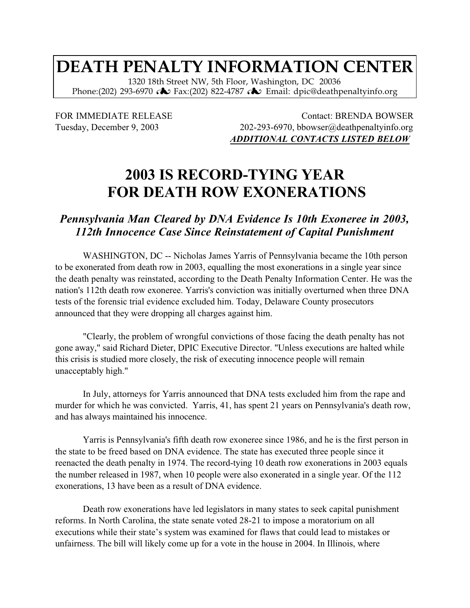## **DEATH PENALTY INFORMATION CENTER**

1320 18th Street NW, 5th Floor, Washington, DC 20036 Phone:(202) 293-6970 **♪** Fax:(202) 822-4787 ◆ Email: dpic@deathpenaltyinfo.org

FOR IMMEDIATE RELEASE Contact: BRENDA BOWSER Tuesday, December 9, 2003 202-293-6970, bbowser@deathpenaltyinfo.org *ADDITIONAL CONTACTS LISTED BELOW*

## **2003 IS RECORD-TYING YEAR FOR DEATH ROW EXONERATIONS**

## *Pennsylvania Man Cleared by DNA Evidence Is 10th Exoneree in 2003, 112th Innocence Case Since Reinstatement of Capital Punishment*

WASHINGTON, DC -- Nicholas James Yarris of Pennsylvania became the 10th person to be exonerated from death row in 2003, equalling the most exonerations in a single year since the death penalty was reinstated, according to the Death Penalty Information Center. He was the nation's 112th death row exoneree. Yarris's conviction was initially overturned when three DNA tests of the forensic trial evidence excluded him. Today, Delaware County prosecutors announced that they were dropping all charges against him.

"Clearly, the problem of wrongful convictions of those facing the death penalty has not gone away," said Richard Dieter, DPIC Executive Director. "Unless executions are halted while this crisis is studied more closely, the risk of executing innocence people will remain unacceptably high."

In July, attorneys for Yarris announced that DNA tests excluded him from the rape and murder for which he was convicted. Yarris, 41, has spent 21 years on Pennsylvania's death row, and has always maintained his innocence.

Yarris is Pennsylvania's fifth death row exoneree since 1986, and he is the first person in the state to be freed based on DNA evidence. The state has executed three people since it reenacted the death penalty in 1974. The record-tying 10 death row exonerations in 2003 equals the number released in 1987, when 10 people were also exonerated in a single year. Of the 112 exonerations, 13 have been as a result of DNA evidence.

Death row exonerations have led legislators in many states to seek capital punishment reforms. In North Carolina, the state senate voted 28-21 to impose a moratorium on all executions while their state's system was examined for flaws that could lead to mistakes or unfairness. The bill will likely come up for a vote in the house in 2004. In Illinois, where